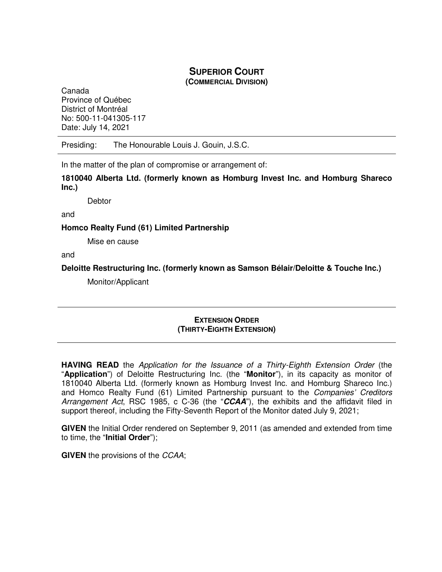# **SUPERIOR COURT**

**(COMMERCIAL DIVISION)**

Canada Province of Québec District of Montréal No: 500-11-041305-117 Date: July 14, 2021

Presiding: The Honourable Louis J. Gouin, J.S.C.

In the matter of the plan of compromise or arrangement of:

**1810040 Alberta Ltd. (formerly known as Homburg Invest Inc. and Homburg Shareco Inc.)** 

**Debtor** 

and

**Homco Realty Fund (61) Limited Partnership** 

Mise en cause

and

**Deloitte Restructuring Inc. (formerly known as Samson Bélair/Deloitte & Touche Inc.)** 

Monitor/Applicant

## **EXTENSION ORDER (THIRTY-EIGHTH EXTENSION)**

**HAVING READ** the Application for the Issuance of a Thirty-Eighth Extension Order (the "**Application**") of Deloitte Restructuring Inc. (the "**Monitor**"), in its capacity as monitor of 1810040 Alberta Ltd. (formerly known as Homburg Invest Inc. and Homburg Shareco Inc.) and Homco Realty Fund (61) Limited Partnership pursuant to the Companies' Creditors Arrangement Act, RSC 1985, c C-36 (the "**CCAA**"), the exhibits and the affidavit filed in support thereof, including the Fifty-Seventh Report of the Monitor dated July 9, 2021;

**GIVEN** the Initial Order rendered on September 9, 2011 (as amended and extended from time to time, the "**Initial Order**");

**GIVEN** the provisions of the CCAA;